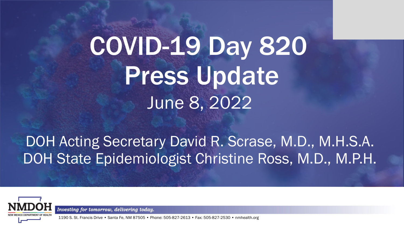# COVID-19 Day 820 Press Update June 8, 2022

## DOH Acting Secretary David R. Scrase, M.D., M.H.S.A. DOH State Epidemiologist Christine Ross, M.D., M.P.H.



Investing for tomorrow, delivering today.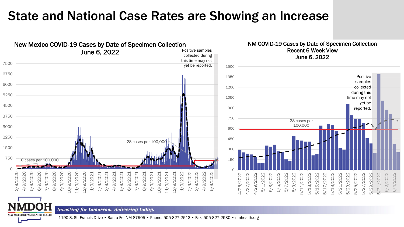### State and National Case Rates are Showing an Increase



#### NM COVID-19 Cases by Date of Specimen Collection Recent 6 Week View June 6, 2022



Investing for tomorrow, delivering today.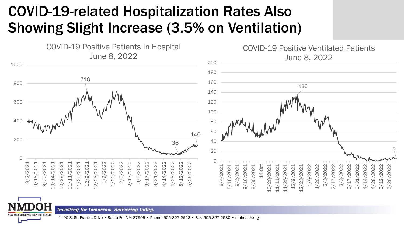## COVID-19-related Hospitalization Rates Also Showing Slight Increase (3.5% on Ventilation)



Investing for tomorrow, delivering today.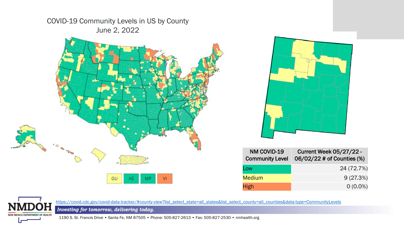

| NM COVID-19<br><b>Community Level</b> | <b>Current Week 05/27/22 -</b><br>06/02/22 # of Counties (%) |
|---------------------------------------|--------------------------------------------------------------|
| Low                                   | 24 (72.7%)                                                   |
| <b>Medium</b>                         | 9(27.3%)                                                     |
| High                                  | $0(0.0\%)$                                                   |



Investing for tomorrow, delivering today.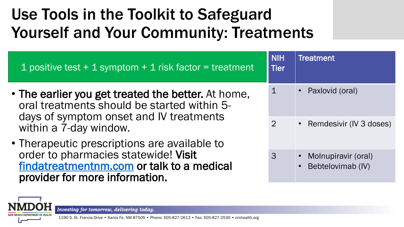## Use Tools in the Toolkit to Safeguard Yourself and Your Community: Treatments

| 1 positive test $+$ 1 symptom $+$ 1 risk factor = treatment                                                                                  | <b>NIH</b><br><b>Tier</b> | <b>Treatment</b>                         |
|----------------------------------------------------------------------------------------------------------------------------------------------|---------------------------|------------------------------------------|
| • The earlier you get treated the better. At home,<br>oral treatments should be started within 5-<br>days of symptom onset and IV treatments |                           | • Paxlovid (oral)                        |
| within a 7-day window.<br>• Therapeutic prescriptions are available to                                                                       | $\overline{2}$            | • Remdesivir (IV 3 doses)                |
| order to pharmacies statewide! Visit<br>findatreatmentnm.com or talk to a medical<br>provider for more information.                          | $\overline{3}$            | Molnupiravir (oral)<br>Bebtelovimab (IV) |

Investing for tomorrow, delivering today.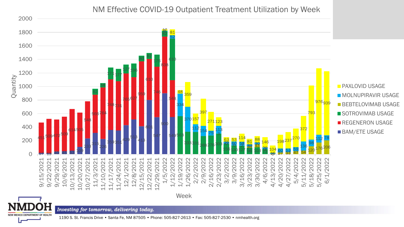NM Effective COVID-19 Outpatient Treatment Utilization by Week

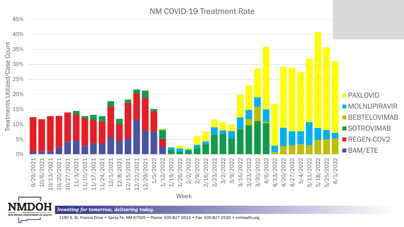#### NM COVID-19 Treatment Rate

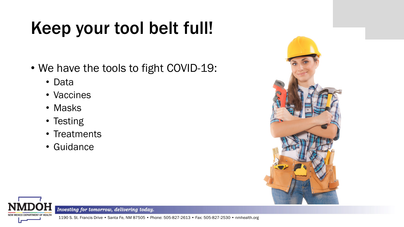# Keep your tool belt full!

- We have the tools to fight COVID-19:
	- Data
	- Vaccines
	- Masks
	- Testing
	- Treatments
	- Guidance





Investing for tomorrow, delivering today.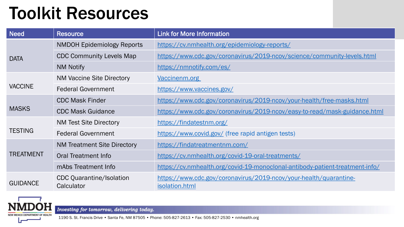# Toolkit Resources

| <b>Need</b>      | <b>Resource</b>                               | <b>Link for More Information</b>                                                    |  |
|------------------|-----------------------------------------------|-------------------------------------------------------------------------------------|--|
| <b>DATA</b>      | <b>NMDOH Epidemiology Reports</b>             | https://cv.nmhealth.org/epidemiology-reports/                                       |  |
|                  | <b>CDC Community Levels Map</b>               | https://www.cdc.gov/coronavirus/2019-ncov/science/community-levels.html             |  |
|                  | <b>NM Notify</b>                              | https://nmnotify.com/es/                                                            |  |
| <b>VACCINE</b>   | <b>NM Vaccine Site Directory</b>              | Vaccinenm.org                                                                       |  |
|                  | <b>Federal Government</b>                     | https://www.vaccines.gov/                                                           |  |
| <b>MASKS</b>     | <b>CDC Mask Finder</b>                        | https://www.cdc.gov/coronavirus/2019-ncov/your-health/free-masks.html               |  |
|                  | <b>CDC Mask Guidance</b>                      | https://www.cdc.gov/coronavirus/2019-ncov/easy-to-read/mask-guidance.html           |  |
| <b>TESTING</b>   | <b>NM Test Site Directory</b>                 | https://findatestnm.org/                                                            |  |
|                  | <b>Federal Government</b>                     | https://www.covid.gov/ (free rapid antigen tests)                                   |  |
| <b>TREATMENT</b> | <b>NM Treatment Site Directory</b>            | https://findatreatmentnm.com/                                                       |  |
|                  | Oral Treatment Info                           | https://cv.nmhealth.org/covid-19-oral-treatments/                                   |  |
|                  | mAbs Treatment Info                           | https://cv.nmhealth.org/covid-19-monoclonal-antibody-patient-treatment-info/        |  |
| <b>GUIDANCE</b>  | <b>CDC Quarantine/Isolation</b><br>Calculator | https://www.cdc.gov/coronavirus/2019-ncov/your-health/quarantine-<br>isolation.html |  |



Investing for tomorrow, delivering today.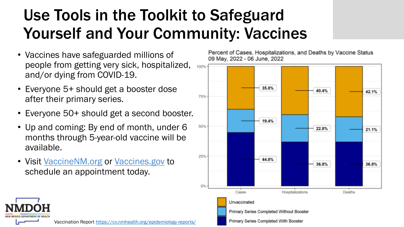## Use Tools in the Toolkit to Safeguard Yourself and Your Community: Vaccines

- Vaccines have safeguarded millions of people from getting very sick, hospitalized, and/or dying from COVID-19.
- Everyone 5+ should get a booster dose after their primary series.
- Everyone 50+ should get a second booster.
- Up and coming: By end of month, under 6 months through 5-year-old vaccine will be available.
- Visit VaccineNM.org or Vaccines.gov to schedule an appointment today.

Percent of Cases, Hospitalizations, and Deaths by Vaccine Status 09 May, 2022 - 06 June, 2022





Vaccination Report <https://cv.nmhealth.org/epidemiology-reports/>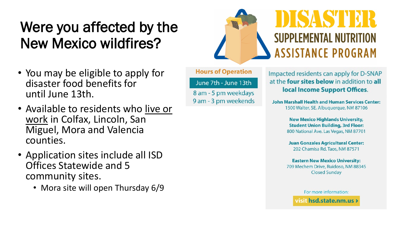## Were you affected by the New Mexico wildfires?

- You may be eligible to apply for disaster food benefits for until June 13th.
- Available to residents who live or work in Colfax, Lincoln, San Miguel, Mora and Valencia counties.
- Application sites include all ISD Offices Statewide and 5 community sites.
	- Mora site will open Thursday 6/9

# **Z 13 N D SUPPLEMENTAL NUTRITION ASSISTANCE PROGRAM**

**Hours of Operation** 

June 7th - June 13th 8 am - 5 pm weekdays 9 am - 3 pm weekends Impacted residents can apply for D-SNAP at the **four sites below** in addition to all local Income Support Offices.

**John Marshall Health and Human Services Center:** 1500 Walter, SE, Albuguergue, NM 87106

> **New Mexico Highlands University, Student Union Building, 3rd Floor:** 800 National Ave. Las Vegas, NM 87701

**Juan Gonzales Agricultural Center:** 202 Chamisa Rd. Taos, NM 87571

**Eastern New Mexico University:** 709 Mechem Drive, Ruidoso, NM 88345 **Closed Sunday** 

> For more information: visit hsd.state.nm.us >